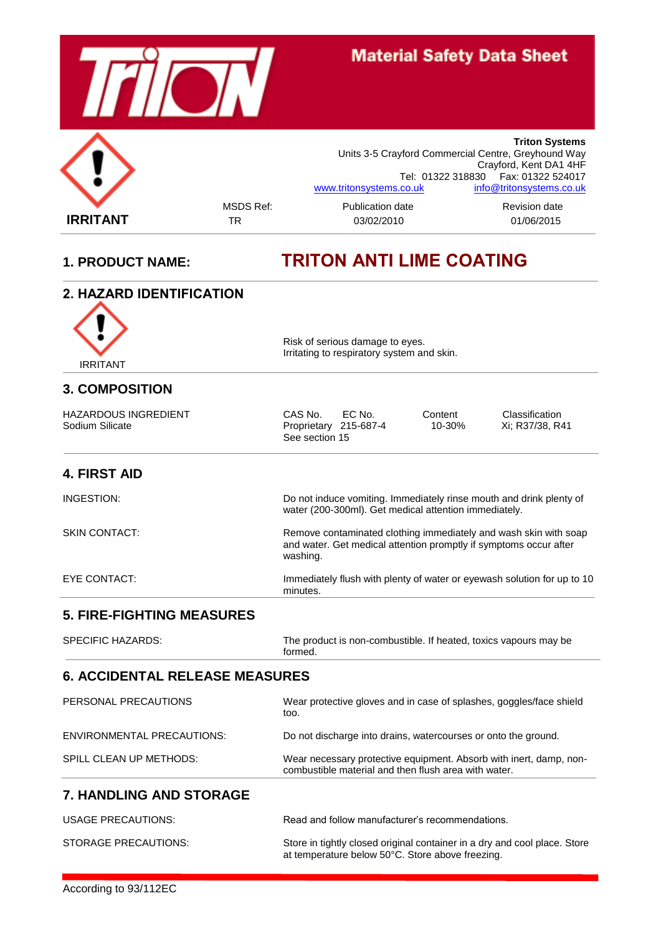

# **1. PRODUCT NAME: TRITON ANTI LIME COATING**

| 2. HAZARD IDENTIFICATION                |                                                                                                                                                   |
|-----------------------------------------|---------------------------------------------------------------------------------------------------------------------------------------------------|
| <b>IRRITANT</b>                         | Risk of serious damage to eyes.<br>Irritating to respiratory system and skin.                                                                     |
| <b>3. COMPOSITION</b>                   |                                                                                                                                                   |
| HAZARDOUS INGREDIENT<br>Sodium Silicate | CAS No.<br>EC No.<br>Content<br>Classification<br>Xi; R37/38, R41<br>Proprietary 215-687-4<br>10-30%<br>See section 15                            |
| <b>4. FIRST AID</b>                     |                                                                                                                                                   |
| INGESTION:                              | Do not induce vomiting. Immediately rinse mouth and drink plenty of<br>water (200-300ml). Get medical attention immediately.                      |
| <b>SKIN CONTACT:</b>                    | Remove contaminated clothing immediately and wash skin with soap<br>and water. Get medical attention promptly if symptoms occur after<br>washing. |
| EYE CONTACT:                            | Immediately flush with plenty of water or eyewash solution for up to 10<br>minutes.                                                               |
| <b>5. FIRE-FIGHTING MEASURES</b>        |                                                                                                                                                   |
| <b>SPECIFIC HAZARDS:</b>                | The product is non-combustible. If heated, toxics vapours may be<br>formed.                                                                       |
| <b>6. ACCIDENTAL RELEASE MEASURES</b>   |                                                                                                                                                   |
| PERSONAL PRECAUTIONS                    | Wear protective gloves and in case of splashes, goggles/face shield<br>too.                                                                       |
| ENVIRONMENTAL PRECAUTIONS:              | Do not discharge into drains, watercourses or onto the ground.                                                                                    |
| SPILL CLEAN UP METHODS:                 | Wear necessary protective equipment. Absorb with inert, damp, non-<br>combustible material and then flush area with water.                        |
| <b>7. HANDLING AND STORAGE</b>          |                                                                                                                                                   |
| <b>USAGE PRECAUTIONS:</b>               | Read and follow manufacturer's recommendations.                                                                                                   |
| STORAGE PRECAUTIONS:                    | Store in tightly closed original container in a dry and cool place. Store<br>at temperature below 50°C. Store above freezing.                     |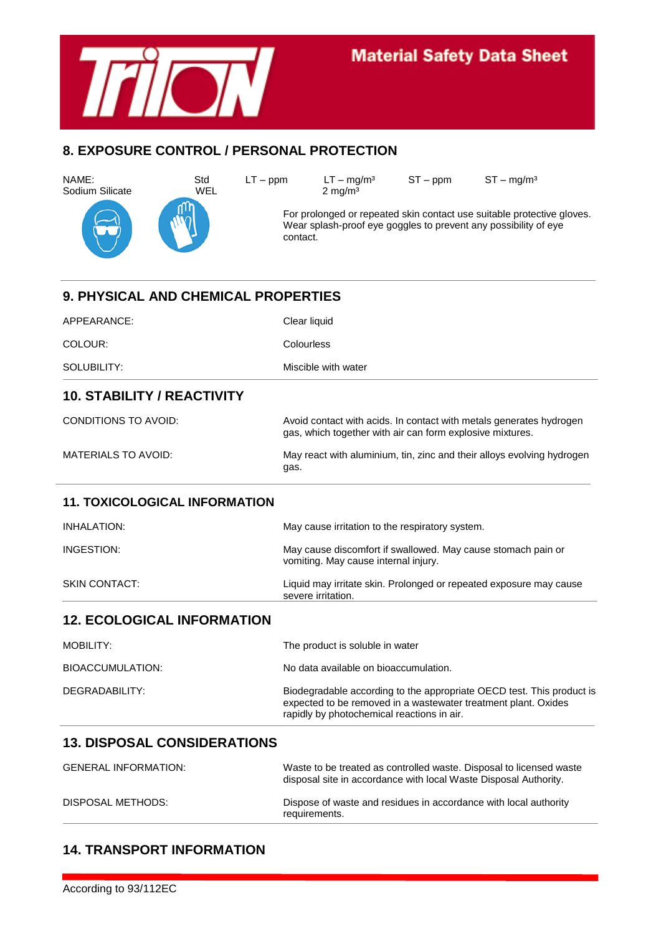

# **Material Safety Data Sheet**

## **8. EXPOSURE CONTROL / PERSONAL PROTECTION**

Sodium Silicate





For prolonged or repeated skin contact use suitable protective gloves. Wear splash-proof eye goggles to prevent any possibility of eye contact.

| APPEARANCE:<br>Clear liquid<br>Colourless<br>COLOUR:<br>Miscible with water<br>SOLUBILITY:<br><b>10. STABILITY / REACTIVITY</b>                                                                         |  |
|---------------------------------------------------------------------------------------------------------------------------------------------------------------------------------------------------------|--|
|                                                                                                                                                                                                         |  |
|                                                                                                                                                                                                         |  |
|                                                                                                                                                                                                         |  |
|                                                                                                                                                                                                         |  |
| <b>CONDITIONS TO AVOID:</b><br>Avoid contact with acids. In contact with metals generates hydrogen<br>gas, which together with air can form explosive mixtures.                                         |  |
| <b>MATERIALS TO AVOID:</b><br>May react with aluminium, tin, zinc and their alloys evolving hydrogen<br>gas.                                                                                            |  |
| <b>11. TOXICOLOGICAL INFORMATION</b>                                                                                                                                                                    |  |
| <b>INHALATION:</b><br>May cause irritation to the respiratory system.                                                                                                                                   |  |
| INGESTION:<br>May cause discomfort if swallowed. May cause stomach pain or<br>vomiting. May cause internal injury.                                                                                      |  |
| <b>SKIN CONTACT:</b><br>Liquid may irritate skin. Prolonged or repeated exposure may cause<br>severe irritation.                                                                                        |  |
| <b>12. ECOLOGICAL INFORMATION</b>                                                                                                                                                                       |  |
| <b>MOBILITY:</b><br>The product is soluble in water                                                                                                                                                     |  |
| No data available on bioaccumulation.<br><b>BIOACCUMULATION:</b>                                                                                                                                        |  |
| DEGRADABILITY:<br>Biodegradable according to the appropriate OECD test. This product is<br>expected to be removed in a wastewater treatment plant. Oxides<br>rapidly by photochemical reactions in air. |  |
| <b>13. DISPOSAL CONSIDERATIONS</b>                                                                                                                                                                      |  |
| <b>GENERAL INFORMATION:</b><br>Waste to be treated as controlled waste. Disposal to licensed waste<br>disposal site in accordance with local Waste Disposal Authority.                                  |  |
| DISPOSAL METHODS:<br>Dispose of waste and residues in accordance with local authority<br>requirements.                                                                                                  |  |

## **14. TRANSPORT INFORMATION**